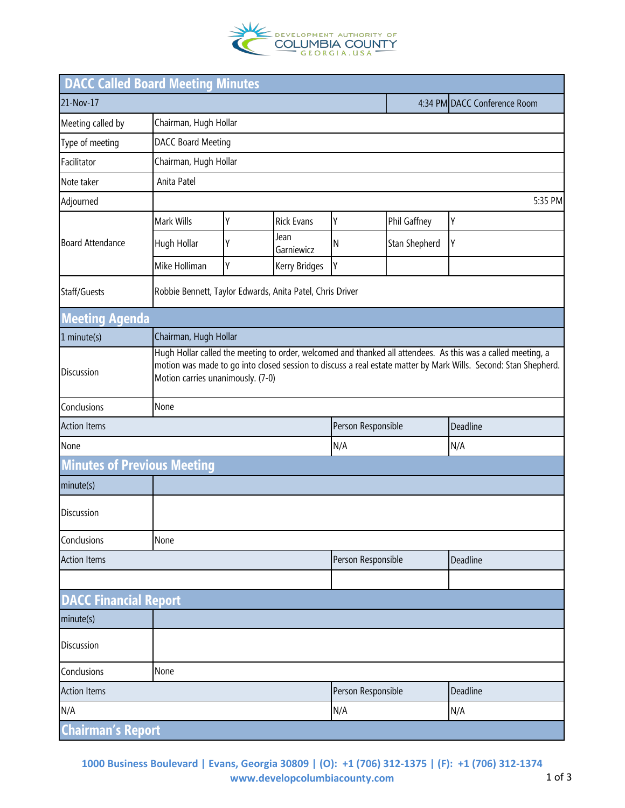

| <b>DACC Called Board Meeting Minutes</b> |                                                                                                                                                                                                                                                                      |                       |                    |                    |                              |          |  |
|------------------------------------------|----------------------------------------------------------------------------------------------------------------------------------------------------------------------------------------------------------------------------------------------------------------------|-----------------------|--------------------|--------------------|------------------------------|----------|--|
| 21-Nov-17                                |                                                                                                                                                                                                                                                                      |                       |                    |                    | 4:34 PM DACC Conference Room |          |  |
| Meeting called by                        | Chairman, Hugh Hollar                                                                                                                                                                                                                                                |                       |                    |                    |                              |          |  |
| Type of meeting                          | <b>DACC Board Meeting</b>                                                                                                                                                                                                                                            |                       |                    |                    |                              |          |  |
| Facilitator                              | Chairman, Hugh Hollar                                                                                                                                                                                                                                                |                       |                    |                    |                              |          |  |
| Note taker                               | Anita Patel                                                                                                                                                                                                                                                          |                       |                    |                    |                              |          |  |
| Adjourned                                | 5:35 PM                                                                                                                                                                                                                                                              |                       |                    |                    |                              |          |  |
| <b>Board Attendance</b>                  | Mark Wills                                                                                                                                                                                                                                                           | Υ                     | <b>Rick Evans</b>  | Υ                  | Phil Gaffney                 | Υ        |  |
|                                          | Hugh Hollar                                                                                                                                                                                                                                                          | Υ                     | Jean<br>Garniewicz | $\mathsf{N}$       | Stan Shepherd                | Υ        |  |
|                                          | Mike Holliman                                                                                                                                                                                                                                                        | Υ                     | Kerry Bridges      | Υ                  |                              |          |  |
| Staff/Guests                             | Robbie Bennett, Taylor Edwards, Anita Patel, Chris Driver                                                                                                                                                                                                            |                       |                    |                    |                              |          |  |
| <b>Meeting Agenda</b>                    |                                                                                                                                                                                                                                                                      |                       |                    |                    |                              |          |  |
| $1$ minute(s)                            |                                                                                                                                                                                                                                                                      | Chairman, Hugh Hollar |                    |                    |                              |          |  |
| Discussion                               | Hugh Hollar called the meeting to order, welcomed and thanked all attendees. As this was a called meeting, a<br>motion was made to go into closed session to discuss a real estate matter by Mark Wills. Second: Stan Shepherd.<br>Motion carries unanimously. (7-0) |                       |                    |                    |                              |          |  |
| Conclusions                              | None                                                                                                                                                                                                                                                                 |                       |                    |                    |                              |          |  |
| <b>Action Items</b>                      |                                                                                                                                                                                                                                                                      |                       |                    |                    | Person Responsible           | Deadline |  |
| None                                     |                                                                                                                                                                                                                                                                      |                       |                    | N/A                |                              | N/A      |  |
| <b>Minutes of Previous Meeting</b>       |                                                                                                                                                                                                                                                                      |                       |                    |                    |                              |          |  |
| minute(s)                                |                                                                                                                                                                                                                                                                      |                       |                    |                    |                              |          |  |
| Discussion                               |                                                                                                                                                                                                                                                                      |                       |                    |                    |                              |          |  |
| Conclusions                              | None                                                                                                                                                                                                                                                                 |                       |                    |                    |                              |          |  |
| <b>Action Items</b>                      |                                                                                                                                                                                                                                                                      |                       |                    | Person Responsible |                              | Deadline |  |
|                                          |                                                                                                                                                                                                                                                                      |                       |                    |                    |                              |          |  |
| <b>DACC Financial Report</b>             |                                                                                                                                                                                                                                                                      |                       |                    |                    |                              |          |  |
| minute(s)                                |                                                                                                                                                                                                                                                                      |                       |                    |                    |                              |          |  |
| Discussion                               |                                                                                                                                                                                                                                                                      |                       |                    |                    |                              |          |  |
| Conclusions                              | None                                                                                                                                                                                                                                                                 |                       |                    |                    |                              |          |  |
| <b>Action Items</b>                      |                                                                                                                                                                                                                                                                      |                       | Person Responsible |                    | Deadline                     |          |  |
| N/A                                      |                                                                                                                                                                                                                                                                      |                       | N/A                |                    | N/A                          |          |  |
| <b>Chairman's Report</b>                 |                                                                                                                                                                                                                                                                      |                       |                    |                    |                              |          |  |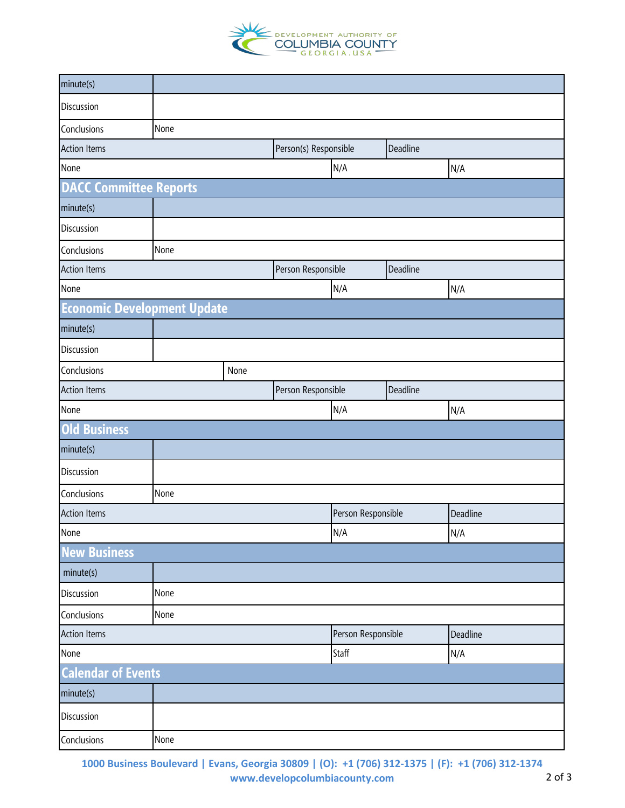

| minute(s)                          |      |      |                       |                    |          |          |
|------------------------------------|------|------|-----------------------|--------------------|----------|----------|
| Discussion                         |      |      |                       |                    |          |          |
| Conclusions                        | None |      |                       |                    |          |          |
| <b>Action Items</b>                |      |      | Person(s) Responsible |                    | Deadline |          |
| None                               |      |      |                       | N/A                |          | N/A      |
| <b>DACC Committee Reports</b>      |      |      |                       |                    |          |          |
| minute(s)                          |      |      |                       |                    |          |          |
| Discussion                         |      |      |                       |                    |          |          |
| Conclusions                        | None |      |                       |                    |          |          |
| <b>Action Items</b>                |      |      | Person Responsible    |                    | Deadline |          |
| None                               |      |      |                       | N/A                |          | N/A      |
| <b>Economic Development Update</b> |      |      |                       |                    |          |          |
| minute(s)                          |      |      |                       |                    |          |          |
| Discussion                         |      |      |                       |                    |          |          |
| Conclusions                        |      | None |                       |                    |          |          |
| <b>Action Items</b>                |      |      | Person Responsible    |                    | Deadline |          |
| None                               |      |      |                       | N/A                |          | N/A      |
| <b>Old Business</b>                |      |      |                       |                    |          |          |
| minute(s)                          |      |      |                       |                    |          |          |
| Discussion                         |      |      |                       |                    |          |          |
| Conclusions                        | None |      |                       |                    |          |          |
| <b>Action Items</b>                |      |      |                       | Person Responsible |          | Deadline |
| None                               |      |      |                       | N/A                |          | N/A      |
| <b>New Business</b>                |      |      |                       |                    |          |          |
| minute(s)                          |      |      |                       |                    |          |          |
| Discussion                         | None |      |                       |                    |          |          |
| Conclusions                        | None |      |                       |                    |          |          |
| <b>Action Items</b>                |      |      | Person Responsible    |                    | Deadline |          |
| None                               |      |      | Staff                 |                    | N/A      |          |
| <b>Calendar of Events</b>          |      |      |                       |                    |          |          |
| minute(s)                          |      |      |                       |                    |          |          |
| Discussion                         |      |      |                       |                    |          |          |
| Conclusions                        | None |      |                       |                    |          |          |

**1000 Business Boulevard | Evans, Georgia 30809 | (O): +1 (706) 312-1375 | (F): +1 (706) 312-1374 www.developcolumbiacounty.com** 2 of 3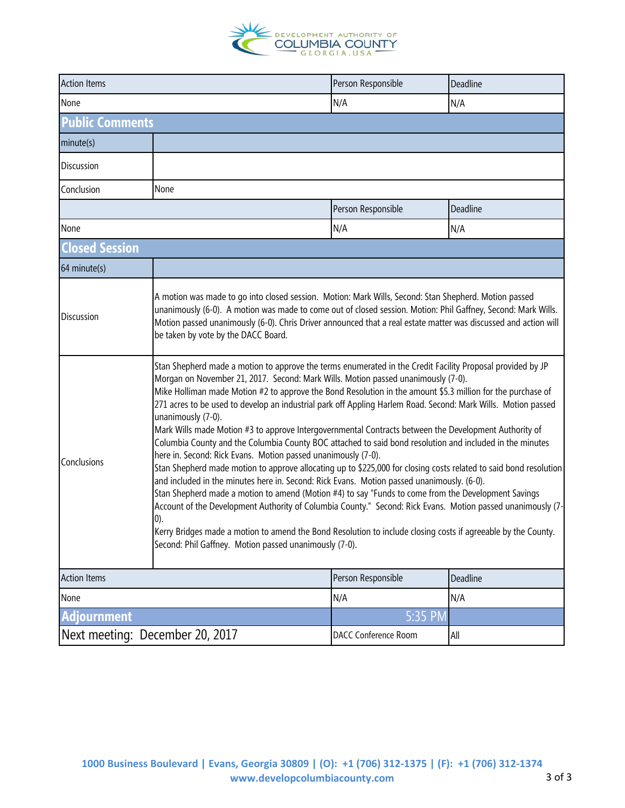

| <b>Action Items</b>             |                                                                                                                                                                                                                                                                                                                                                                                                                                                                                                                                                                                                                                                                                                                                                                                                                                                                                                                                                                                                                                                                                                                                                                                                                                                                                                                                                                        | Person Responsible   | Deadline |  |  |  |
|---------------------------------|------------------------------------------------------------------------------------------------------------------------------------------------------------------------------------------------------------------------------------------------------------------------------------------------------------------------------------------------------------------------------------------------------------------------------------------------------------------------------------------------------------------------------------------------------------------------------------------------------------------------------------------------------------------------------------------------------------------------------------------------------------------------------------------------------------------------------------------------------------------------------------------------------------------------------------------------------------------------------------------------------------------------------------------------------------------------------------------------------------------------------------------------------------------------------------------------------------------------------------------------------------------------------------------------------------------------------------------------------------------------|----------------------|----------|--|--|--|
| None                            |                                                                                                                                                                                                                                                                                                                                                                                                                                                                                                                                                                                                                                                                                                                                                                                                                                                                                                                                                                                                                                                                                                                                                                                                                                                                                                                                                                        | N/A                  | N/A      |  |  |  |
| <b>Public Comments</b>          |                                                                                                                                                                                                                                                                                                                                                                                                                                                                                                                                                                                                                                                                                                                                                                                                                                                                                                                                                                                                                                                                                                                                                                                                                                                                                                                                                                        |                      |          |  |  |  |
| minute(s)                       |                                                                                                                                                                                                                                                                                                                                                                                                                                                                                                                                                                                                                                                                                                                                                                                                                                                                                                                                                                                                                                                                                                                                                                                                                                                                                                                                                                        |                      |          |  |  |  |
| Discussion                      |                                                                                                                                                                                                                                                                                                                                                                                                                                                                                                                                                                                                                                                                                                                                                                                                                                                                                                                                                                                                                                                                                                                                                                                                                                                                                                                                                                        |                      |          |  |  |  |
| Conclusion                      | None                                                                                                                                                                                                                                                                                                                                                                                                                                                                                                                                                                                                                                                                                                                                                                                                                                                                                                                                                                                                                                                                                                                                                                                                                                                                                                                                                                   |                      |          |  |  |  |
|                                 |                                                                                                                                                                                                                                                                                                                                                                                                                                                                                                                                                                                                                                                                                                                                                                                                                                                                                                                                                                                                                                                                                                                                                                                                                                                                                                                                                                        | Person Responsible   | Deadline |  |  |  |
| None                            |                                                                                                                                                                                                                                                                                                                                                                                                                                                                                                                                                                                                                                                                                                                                                                                                                                                                                                                                                                                                                                                                                                                                                                                                                                                                                                                                                                        | N/A                  | N/A      |  |  |  |
| <b>Closed Session</b>           |                                                                                                                                                                                                                                                                                                                                                                                                                                                                                                                                                                                                                                                                                                                                                                                                                                                                                                                                                                                                                                                                                                                                                                                                                                                                                                                                                                        |                      |          |  |  |  |
| 64 minute(s)                    |                                                                                                                                                                                                                                                                                                                                                                                                                                                                                                                                                                                                                                                                                                                                                                                                                                                                                                                                                                                                                                                                                                                                                                                                                                                                                                                                                                        |                      |          |  |  |  |
| Discussion                      | A motion was made to go into closed session. Motion: Mark Wills, Second: Stan Shepherd. Motion passed<br>unanimously (6-0). A motion was made to come out of closed session. Motion: Phil Gaffney, Second: Mark Wills.<br>Motion passed unanimously (6-0). Chris Driver announced that a real estate matter was discussed and action will<br>be taken by vote by the DACC Board.                                                                                                                                                                                                                                                                                                                                                                                                                                                                                                                                                                                                                                                                                                                                                                                                                                                                                                                                                                                       |                      |          |  |  |  |
| Conclusions                     | Stan Shepherd made a motion to approve the terms enumerated in the Credit Facility Proposal provided by JP<br>Morgan on November 21, 2017. Second: Mark Wills. Motion passed unanimously (7-0).<br>Mike Holliman made Motion #2 to approve the Bond Resolution in the amount \$5.3 million for the purchase of<br>271 acres to be used to develop an industrial park off Appling Harlem Road. Second: Mark Wills. Motion passed<br>unanimously (7-0).<br>Mark Wills made Motion #3 to approve Intergovernmental Contracts between the Development Authority of<br>Columbia County and the Columbia County BOC attached to said bond resolution and included in the minutes<br>here in. Second: Rick Evans. Motion passed unanimously (7-0).<br>Stan Shepherd made motion to approve allocating up to \$225,000 for closing costs related to said bond resolution<br>and included in the minutes here in. Second: Rick Evans. Motion passed unanimously. (6-0).<br>Stan Shepherd made a motion to amend (Motion #4) to say "Funds to come from the Development Savings<br>Account of the Development Authority of Columbia County." Second: Rick Evans. Motion passed unanimously (7-<br>0).<br>Kerry Bridges made a motion to amend the Bond Resolution to include closing costs if agreeable by the County.<br>Second: Phil Gaffney. Motion passed unanimously (7-0). |                      |          |  |  |  |
| <b>Action Items</b>             |                                                                                                                                                                                                                                                                                                                                                                                                                                                                                                                                                                                                                                                                                                                                                                                                                                                                                                                                                                                                                                                                                                                                                                                                                                                                                                                                                                        | Person Responsible   | Deadline |  |  |  |
| None                            |                                                                                                                                                                                                                                                                                                                                                                                                                                                                                                                                                                                                                                                                                                                                                                                                                                                                                                                                                                                                                                                                                                                                                                                                                                                                                                                                                                        | N/A                  | N/A      |  |  |  |
| <b>Adjournment</b>              |                                                                                                                                                                                                                                                                                                                                                                                                                                                                                                                                                                                                                                                                                                                                                                                                                                                                                                                                                                                                                                                                                                                                                                                                                                                                                                                                                                        | $5:35$ PM            |          |  |  |  |
| Next meeting: December 20, 2017 |                                                                                                                                                                                                                                                                                                                                                                                                                                                                                                                                                                                                                                                                                                                                                                                                                                                                                                                                                                                                                                                                                                                                                                                                                                                                                                                                                                        | DACC Conference Room | All      |  |  |  |